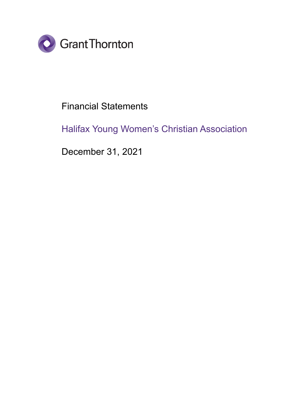

# Financial Statements

# Halifax Young Women's Christian Association

December 31, 2021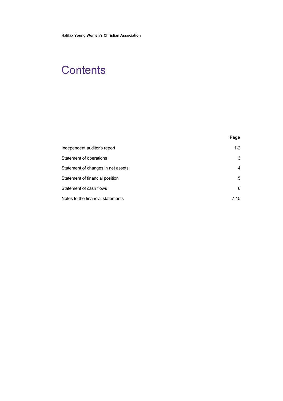# **Contents**

| Independent auditor's report       | $1 - 2$ |
|------------------------------------|---------|
| Statement of operations            | 3       |
| Statement of changes in net assets | 4       |
| Statement of financial position    | 5       |
| Statement of cash flows            | 6       |
| Notes to the financial statements  | $7-15$  |

**Page**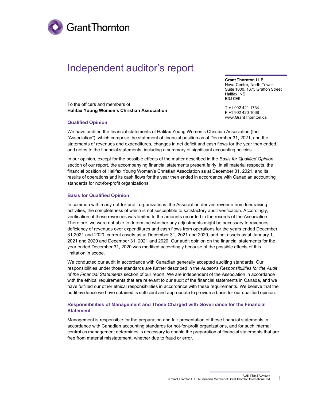

# Independent auditor's report

To the officers and members of **Halifax Young Women's Christian Association** **Grant Thornton LLP**

Nova Centre, North Tower Suite 1000, 1675 Grafton Street Halifax, NS B3J 0E9

T +1 902 421 1734 F +1 902 420 1068 [www.GrantThornton.ca](http://www.grantthornton.ca/)

#### **Qualified Opinion**

We have audited the financial statements of Halifax Young Women's Christian Association (the "Association"), which comprise the statement of financial position as at December 31, 2021, and the statements of revenues and expenditures, changes in net deficit and cash flows for the year then ended, and notes to the financial statements, including a summary of significant accounting policies.

In our opinion, except for the possible effects of the matter described in the *Basis for Qualified Opinion* section of our report, the accompanying financial statements present fairly, in all material respects, the financial position of Halifax Young Women's Christian Association as at December 31, 2021, and its results of operations and its cash flows for the year then ended in accordance with Canadian accounting standards for not-for-profit organizations.

#### **Basis for Qualified Opinion**

In common with many not-for-profit organizations, the Association derives revenue from fundraising activities, the completeness of which is not susceptible to satisfactory audit verification. Accordingly, verification of these revenues was limited to the amounts recorded in the records of the Association. Therefore, we were not able to determine whether any adjustments might be necessary to revenues, deficiency of revenues over expenditures and cash flows from operations for the years ended December 31,2021 and 2020, current assets as at December 31, 2021 and 2020, and net assets as at January 1, 2021 and 2020 and December 31, 2021 and 2020. Our audit opinion on the financial statements for the year ended December 31, 2020 was modified accordingly because of the possible effects of this limitation in scope.

We conducted our audit in accordance with Canadian generally accepted auditing standards. Our responsibilities under those standards are further described in the *Auditor's Responsibilities for the Audit of the Financial Statements* section of our report. We are independent of the Association in accordance with the ethical requirements that are relevant to our audit of the financial statements in Canada, and we have fulfilled our other ethical responsibilities in accordance with these requirements. We believe that the audit evidence we have obtained is sufficient and appropriate to provide a basis for our qualified opinion.

#### **Responsibilities of Management and Those Charged with Governance for the Financial Statement**

Management is responsible for the preparation and fair presentation of these financial statements in accordance with Canadian accounting standards for not-for-profit organizations, and for such internal control as management determines is necessary to enable the preparation of financial statements that are free from material misstatement, whether due to fraud or error.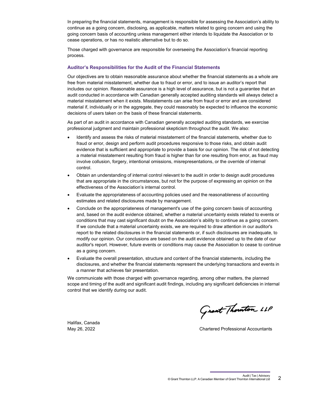In preparing the financial statements, management is responsible for assessing the Association's ability to continue as a going concern, disclosing, as applicable, matters related to going concern and using the going concern basis of accounting unless management either intends to liquidate the Association or to cease operations, or has no realistic alternative but to do so.

Those charged with governance are responsible for overseeing the Association's financial reporting process.

#### **Auditor's Responsibilities for the Audit of the Financial Statements**

Our objectives are to obtain reasonable assurance about whether the financial statements as a whole are free from material misstatement, whether due to fraud or error, and to issue an auditor's report that includes our opinion. Reasonable assurance is a high level of assurance, but is not a guarantee that an audit conducted in accordance with Canadian generally accepted auditing standards will always detect a material misstatement when it exists. Misstatements can arise from fraud or error and are considered material if, individually or in the aggregate, they could reasonably be expected to influence the economic decisions of users taken on the basis of these financial statements.

As part of an audit in accordance with Canadian generally accepted auditing standards, we exercise professional judgment and maintain professional skepticism throughout the audit. We also:

- Identify and assess the risks of material misstatement of the financial statements, whether due to fraud or error, design and perform audit procedures responsive to those risks, and obtain audit evidence that is sufficient and appropriate to provide a basis for our opinion. The risk of not detecting a material misstatement resulting from fraud is higher than for one resulting from error, as fraud may involve collusion, forgery, intentional omissions, misrepresentations, or the override of internal control.
- Obtain an understanding of internal control relevant to the audit in order to design audit procedures that are appropriate in the circumstances, but not for the purpose of expressing an opinion on the effectiveness of the Association's internal control.
- Evaluate the appropriateness of accounting policies used and the reasonableness of accounting estimates and related disclosures made by management.
- Conclude on the appropriateness of management's use of the going concern basis of accounting and, based on the audit evidence obtained, whether a material uncertainty exists related to events or conditions that may cast significant doubt on the Association's ability to continue as a going concern. If we conclude that a material uncertainty exists, we are required to draw attention in our auditor's report to the related disclosures in the financial statements or, if such disclosures are inadequate, to modify our opinion. Our conclusions are based on the audit evidence obtained up to the date of our auditor's report. However, future events or conditions may cause the Association to cease to continue as a going concern.
- Evaluate the overall presentation, structure and content of the financial statements, including the disclosures, and whether the financial statements represent the underlying transactions and events in a manner that achieves fair presentation.

We communicate with those charged with governance regarding, among other matters, the planned scope and timing of the audit and significant audit findings, including any significant deficiencies in internal control that we identify during our audit.

Grant Thouton LLP

May 26, 2022 Chartered Professional Accountants

Halifax, Canada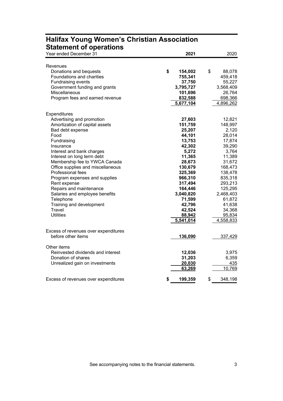| Year ended December 31                                     | 2021          | 2020          |
|------------------------------------------------------------|---------------|---------------|
| Revenues                                                   |               |               |
| Donations and bequests                                     | \$<br>154,002 | \$<br>88,078  |
| Foundations and charities                                  |               |               |
|                                                            | 755,341       | 459,418       |
| <b>Fundraising events</b>                                  | 37,750        | 55,227        |
| Government funding and grants                              | 3,795,727     | 3,568,409     |
| Miscellaneous                                              | 101,696       | 26,764        |
| Program fees and earned revenue                            | 832,588       | 698,366       |
|                                                            | 5,677,104     | 4,896,262     |
| <b>Expenditures</b>                                        |               |               |
| Advertising and promotion                                  | 27,603        | 12,821        |
| Amortization of capital assets                             | 151,759       | 148,997       |
| Bad debt expense                                           | 25,207        | 2,120         |
| Food                                                       | 44,101        | 28,014        |
| Fundraising                                                | 13,753        | 17,874        |
| Insurance                                                  | 42,302        | 39,290        |
| Interest and bank charges                                  | 5,272         | 3,764         |
| Interest on long term debt                                 | 11,365        | 11,389        |
| Membership fee to YWCA Canada                              | 28,673        | 31,672        |
| Office supplies and miscellaneous                          | 130,679       | 168,473       |
| Professional fees                                          | 325,369       | 138,478       |
| Program expenses and supplies                              | 966,310       | 835,318       |
| Rent expense                                               | 317,494       | 293,213       |
| Repairs and maintenance                                    | 164,446       | 125,295       |
| Salaries and employee benefits                             | 3,040,820     | 2,468,403     |
| Telephone                                                  | 71,599        | 61,872        |
| Training and development                                   | 42,796        | 41,638        |
| Travel                                                     | 42,524        | 34,368        |
| <b>Utilities</b>                                           | 88,942        | 95,834        |
|                                                            | 5,541,014     | 4,558,833     |
|                                                            |               |               |
| Excess of revenues over expenditures<br>before other items | 136,090       |               |
|                                                            |               | 337,429       |
| Other items                                                |               |               |
| Reinvested dividends and interest                          | 12,036        | 3,975         |
| Donation of shares                                         | 31,203        | 6,359         |
| Unrealized gain on investments                             | 20,030        | 435           |
|                                                            | 63,269        | 10,769        |
| Excess of revenues over expenditures                       | 199,359<br>S  | \$<br>348,198 |
|                                                            |               |               |

# **Halifax Young Women's Christian Association Statement of operations**

See accompanying notes to the financial statements. 3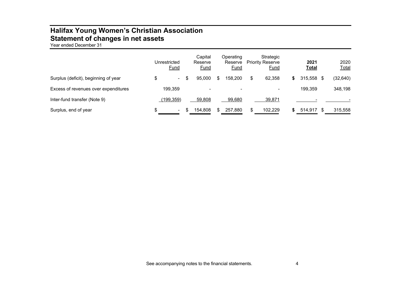# **Halifax Young Women's Christian Association Statement of changes in net assets**

Year ended December 31

|                                      | Unrestricted<br><b>Fund</b> | Capital<br>Reserve<br><b>Fund</b> | Operating<br>Reserve<br><b>Fund</b> | Strategic<br><b>Priority Reserve</b><br><u>Fund</u> |    | 2021<br><b>Total</b> | 2020<br><b>Total</b> |
|--------------------------------------|-----------------------------|-----------------------------------|-------------------------------------|-----------------------------------------------------|----|----------------------|----------------------|
| Surplus (deficit), beginning of year | \$<br>н.                    | 95,000                            | 158,200                             | \$<br>62.358                                        | S. | 315,558 \$           | (32, 640)            |
| Excess of revenues over expenditures | 199,359                     | $\overline{\phantom{0}}$          | $\overline{\phantom{0}}$            |                                                     |    | 199,359              | 348,198              |
| Inter-fund transfer (Note 9)         | (199, 359)                  | 59,808                            | 99,680                              | 39,871                                              |    |                      |                      |
| Surplus, end of year                 | \$<br>٠                     | 154,808                           | 257,880                             | \$<br>102,229                                       |    | 514.917              | 315,558              |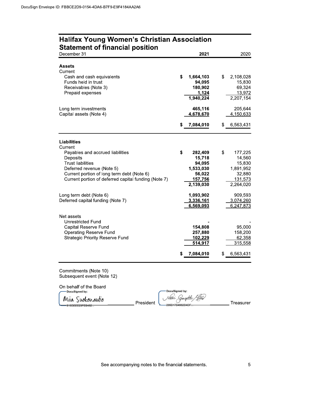| <b>Assets</b><br>Current<br>\$<br>1,664,103<br>\$<br>Cash and cash equivalents<br>Funds held in trust<br>94,095<br>Receivables (Note 3)<br>180,902<br>1,124<br>Prepaid expenses<br>1,940,224<br>465,116<br>Long term investments<br>4,678,670<br>Capital assets (Note 4)<br>7,084,010<br>\$<br>\$<br><b>Liabilities</b><br>Current<br>\$<br>282,409<br>\$<br>Payables and accrued liabilities<br>Deposits<br>15,718<br><b>Trust liabilities</b><br>94,095<br>Deferred revenue (Note 5)<br>1,533,030<br>Current portion of long term debt (Note 6)<br>56,022<br>Current portion of deferred capital funding (Note 7)<br><u>157,756</u><br>2,139,030<br>Long term debt (Note 6)<br>1,093,902<br>Deferred capital funding (Note 7)<br>3,336,161<br>6,569,093<br>Net assets<br>Unrestricted Fund<br>Capital Reserve Fund<br>154,808<br><b>Operating Reserve Fund</b><br>257,880<br><b>Strategic Priority Reserve Fund</b><br>102,229<br>514,917<br>7,084,010<br>\$<br>6,563,431<br>\$ | December 31           | 2021 | 2020                                                                       |
|-----------------------------------------------------------------------------------------------------------------------------------------------------------------------------------------------------------------------------------------------------------------------------------------------------------------------------------------------------------------------------------------------------------------------------------------------------------------------------------------------------------------------------------------------------------------------------------------------------------------------------------------------------------------------------------------------------------------------------------------------------------------------------------------------------------------------------------------------------------------------------------------------------------------------------------------------------------------------------------|-----------------------|------|----------------------------------------------------------------------------|
|                                                                                                                                                                                                                                                                                                                                                                                                                                                                                                                                                                                                                                                                                                                                                                                                                                                                                                                                                                                   |                       |      | 2,108,028<br>15,830<br>69,324<br>13,972<br>2,207,154                       |
|                                                                                                                                                                                                                                                                                                                                                                                                                                                                                                                                                                                                                                                                                                                                                                                                                                                                                                                                                                                   |                       |      | 205,644<br>4,150,633                                                       |
|                                                                                                                                                                                                                                                                                                                                                                                                                                                                                                                                                                                                                                                                                                                                                                                                                                                                                                                                                                                   |                       |      | 6,563,431                                                                  |
|                                                                                                                                                                                                                                                                                                                                                                                                                                                                                                                                                                                                                                                                                                                                                                                                                                                                                                                                                                                   |                       |      |                                                                            |
|                                                                                                                                                                                                                                                                                                                                                                                                                                                                                                                                                                                                                                                                                                                                                                                                                                                                                                                                                                                   |                       |      | 177,225<br>14,560<br>15,830<br>1,891,952<br>32,880<br>131,573<br>2,264,020 |
|                                                                                                                                                                                                                                                                                                                                                                                                                                                                                                                                                                                                                                                                                                                                                                                                                                                                                                                                                                                   |                       |      | 909,593<br>3,074,260<br>6,247,873                                          |
|                                                                                                                                                                                                                                                                                                                                                                                                                                                                                                                                                                                                                                                                                                                                                                                                                                                                                                                                                                                   |                       |      | 95,000<br>158,200<br>62,358<br>315,558                                     |
| Commitments (Note 10)                                                                                                                                                                                                                                                                                                                                                                                                                                                                                                                                                                                                                                                                                                                                                                                                                                                                                                                                                             |                       |      |                                                                            |
|                                                                                                                                                                                                                                                                                                                                                                                                                                                                                                                                                                                                                                                                                                                                                                                                                                                                                                                                                                                   | <b>DocuSigned by:</b> |      |                                                                            |
| On behalf of the Board<br>DocuSigned by:                                                                                                                                                                                                                                                                                                                                                                                                                                                                                                                                                                                                                                                                                                                                                                                                                                                                                                                                          | Mua Suokonautio       |      |                                                                            |

# Halifax Young women's Christian Association

-DocuSigned by: N0-8+/ U(07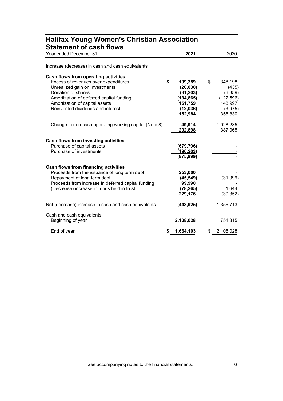| <b>Statement of cash flows</b><br>Year ended December 31                                                                                                                                                                                                |    | 2021                                                                              | 2020                                                                             |
|---------------------------------------------------------------------------------------------------------------------------------------------------------------------------------------------------------------------------------------------------------|----|-----------------------------------------------------------------------------------|----------------------------------------------------------------------------------|
| Increase (decrease) in cash and cash equivalents                                                                                                                                                                                                        |    |                                                                                   |                                                                                  |
| Cash flows from operating activities<br>Excess of revenues over expenditures<br>Unrealized gain on investments<br>Donation of shares<br>Amortization of deferred capital funding<br>Amortization of capital assets<br>Reinvested dividends and interest | \$ | 199,359<br>(20, 030)<br>(31, 203)<br>(134, 865)<br>151,759<br>(12,036)<br>152,984 | \$<br>348,198<br>(435)<br>(6,359)<br>(127, 596)<br>148,997<br>(3,975)<br>358,830 |
| Change in non-cash operating working capital (Note 8)                                                                                                                                                                                                   |    | 49,914<br>202,898                                                                 | 1,028,235<br>1,387,065                                                           |
| Cash flows from investing activities<br>Purchase of capital assets<br>Purchase of investments                                                                                                                                                           |    | (679, 796)<br>(196, 203)<br>(875, 999)                                            |                                                                                  |
| Cash flows from financing activities<br>Proceeds from the issuance of long term debt<br>Repayment of long term debt<br>Proceeds from increase in deferred capital funding<br>(Decrease) increase in funds held in trust                                 |    | 253,000<br>(45, 549)<br>99,990<br>(78, 265)<br>229,176                            | (31,996)<br>1,644<br>(30, 352)                                                   |
| Net (decrease) increase in cash and cash equivalents                                                                                                                                                                                                    |    | (443, 925)                                                                        | 1,356,713                                                                        |
| Cash and cash equivalents<br>Beginning of year                                                                                                                                                                                                          |    | 2,108,028                                                                         | 751,315                                                                          |
| End of year                                                                                                                                                                                                                                             | S  | 1,664,103                                                                         | \$<br>2,108,028                                                                  |

# **Halifax Young Women's Christian Association**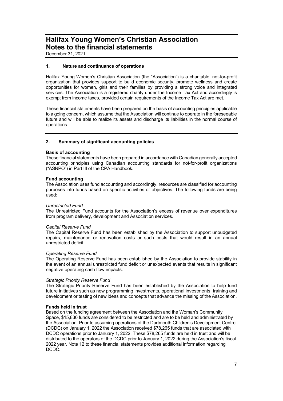December 31, 2021

#### **1. Nature and continuance of operations**

Halifax Young Women's Christian Association (the "Association") is a charitable, not-for-profit organization that provides support to build economic security, promote wellness and create opportunities for women, girls and their families by providing a strong voice and integrated services. The Association is a registered charity under the Income Tax Act and accordingly is exempt from income taxes, provided certain requirements of the Income Tax Act are met.

These financial statements have been prepared on the basis of accounting principles applicable to a going concern, which assume that the Association will continue to operate in the foreseeable future and will be able to realize its assets and discharge its liabilities in the normal course of operations.

#### **2. Summary of significant accounting policies**

#### **Basis of accounting**

These financial statements have been prepared in accordance with Canadian generally accepted accounting principles using Canadian accounting standards for not-for-profit organizations ("ASNPO") in Part III of the CPA Handbook.

#### **Fund accounting**

The Association uses fund accounting and accordingly, resources are classified for accounting purposes into funds based on specific activities or objectives. The following funds are being used:

#### *Unrestricted Fund*

The Unrestricted Fund accounts for the Association's excess of revenue over expenditures from program delivery, development and Association services.

#### *Capital Reserve Fund*

The Capital Reserve Fund has been established by the Association to support unbudgeted repairs, maintenance or renovation costs or such costs that would result in an annual unrestricted deficit.

#### *Operating Reserve Fund*

The Operating Reserve Fund has been established by the Association to provide stability in the event of an annual unrestricted fund deficit or unexpected events that results in significant negative operating cash flow impacts.

#### *Strategic Priority Reserve Fund*

The Strategic Priority Reserve Fund has been established by the Association to help fund future initiatives such as new programming investments, operational investments, training and development or testing of new ideas and concepts that advance the missing of the Association.

#### **Funds held in trust**

Based on the funding agreement between the Association and the Woman's Community Space, \$15,830 funds are considered to be restricted and are to be held and administrated by the Association. Prior to assuming operations of the Dartmouth Children's Development Centre (DCDC) on January 1, 2022 the Association received \$78,265 funds that are associated with DCDC operations prior to January 1, 2022. These \$78,265 funds are held in trust and will be distributed to the operators of the DCDC prior to January 1, 2022 during the Association's fiscal 2022 year. Note 12 to these financial statements provides additional information regarding DCDC.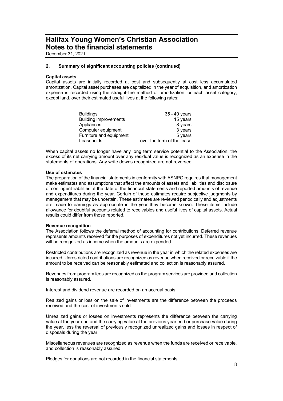December 31, 2021

#### **2. Summary of significant accounting policies (continued)**

#### **Capital assets**

Capital assets are initially recorded at cost and subsequently at cost less accumulated amortization. Capital asset purchases are capitalized in the year of acquisition, and amortization expense is recorded using the straight-line method of amortization for each asset category, except land, over their estimated useful lives at the following rates:

| <b>Buildings</b>             | 35 - 40 years              |
|------------------------------|----------------------------|
| <b>Building improvements</b> | 15 years                   |
| Appliances                   | 8 years                    |
| Computer equipment           | 3 years                    |
| Furniture and equipment      | 5 years                    |
| Leaseholds                   | over the term of the lease |

When capital assets no longer have any long term service potential to the Association, the excess of its net carrying amount over any residual value is recognized as an expense in the statements of operations. Any write downs recognized are not reversed.

#### **Use of estimates**

The preparation of the financial statements in conformity with ASNPO requires that management make estimates and assumptions that affect the amounts of assets and liabilities and disclosure of contingent liabilities at the date of the financial statements and reported amounts of revenue and expenditures during the year. Certain of these estimates require subjective judgments by management that may be uncertain. These estimates are reviewed periodically and adjustments are made to earnings as appropriate in the year they become known. These items include allowance for doubtful accounts related to receivables and useful lives of capital assets. Actual results could differ from those reported.

#### **Revenue recognition**

The Association follows the deferral method of accounting for contributions. Deferred revenue represents amounts received for the purposes of expenditures not yet incurred. These revenues will be recognized as income when the amounts are expended.

Restricted contributions are recognized as revenue in the year in which the related expenses are incurred. Unrestricted contributions are recognized as revenue when received or receivable if the amount to be received can be reasonably estimated and collection is reasonably assured.

Revenues from program fees are recognized as the program services are provided and collection is reasonably assured.

Interest and dividend revenue are recorded on an accrual basis.

Realized gains or loss on the sale of investments are the difference between the proceeds received and the cost of investments sold.

Unrealized gains or losses on investments represents the difference between the carrying value at the year end and the carrying value at the previous year end or purchase value during the year, less the reversal of previously recognized unrealized gains and losses in respect of disposals during the year.

Miscellaneous revenues are recognized as revenue when the funds are received or receivable, and collection is reasonably assured.

Pledges for donations are not recorded in the financial statements.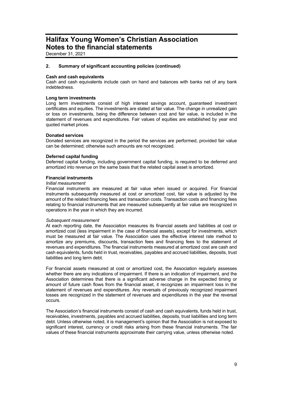December 31, 2021

#### **2. Summary of significant accounting policies (continued)**

#### **Cash and cash equivalents**

Cash and cash equivalents include cash on hand and balances with banks net of any bank indebtedness.

#### **Long term investments**

Long term investments consist of high interest savings account, guaranteed investment certificates and equities. The investments are stated at fair value. The change in unrealized gain or loss on investments, being the difference between cost and fair value, is included in the statement of revenues and expenditures. Fair values of equities are established by year end quoted market prices.

#### **Donated services**

Donated services are recognized in the period the services are performed, provided fair value can be determined; otherwise such amounts are not recognized.

#### **Deferred capital funding**

Deferred capital funding, including government capital funding, is required to be deferred and amortized into revenue on the same basis that the related capital asset is amortized.

#### **Financial instruments**

#### *Initial measurement*

Financial instruments are measured at fair value when issued or acquired. For financial instruments subsequently measured at cost or amortized cost, fair value is adjusted by the amount of the related financing fees and transaction costs. Transaction costs and financing fees relating to financial instruments that are measured subsequently at fair value are recognized in operations in the year in which they are incurred.

#### *Subsequent measurement*

At each reporting date, the Association measures its financial assets and liabilities at cost or amortized cost (less impairment in the case of financial assets), except for investments, which must be measured at fair value. The Association uses the effective interest rate method to amortize any premiums, discounts, transaction fees and financing fees to the statement of revenues and expenditures. The financial instruments measured at amortized cost are cash and cash equivalents, funds held in trust, receivables, payables and accrued liabilities, deposits, trust liabilities and long term debt.

For financial assets measured at cost or amortized cost, the Association regularly assesses whether there are any indications of impairment. If there is an indication of impairment, and the Association determines that there is a significant adverse change in the expected timing or amount of future cash flows from the financial asset, it recognizes an impairment loss in the statement of revenues and expenditures. Any reversals of previously recognized impairment losses are recognized in the statement of revenues and expenditures in the year the reversal occurs.

The Association's financial instruments consist of cash and cash equivalents, funds held in trust, receivables, investments, payables and accrued liabilities, deposits, trust liabilities and long term debt. Unless otherwise noted, it is management's opinion that the Association is not exposed to significant interest, currency or credit risks arising from these financial instruments. The fair values of these financial instruments approximate their carrying value, unless otherwise noted.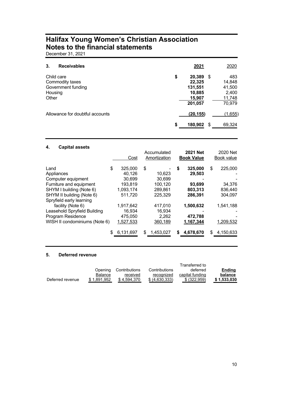December 31, 2021

| 3.                             | <b>Receivables</b>                    | 2021                                                             |      | 2020                                                 |
|--------------------------------|---------------------------------------|------------------------------------------------------------------|------|------------------------------------------------------|
| Child care<br>Housing<br>Other | Commodity taxes<br>Government funding | \$<br>20,389<br>22,325<br>131,551<br>10,885<br>15,907<br>201,057 | - \$ | 483<br>14,848<br>41,500<br>2,400<br>11,748<br>70,979 |
|                                | Allowance for doubtful accounts       | \$<br>(20, 155)<br>180,902                                       | \$   | (1,655)<br>69,324                                    |

#### **4. Capital assets**

|                               | Cost            | Accumulated<br>Amortization |    | <b>2021 Net</b><br><b>Book Value</b> | 2020 Net<br>Book value |
|-------------------------------|-----------------|-----------------------------|----|--------------------------------------|------------------------|
| Land                          | \$<br>325,000   | \$                          | \$ | 325,000                              | \$<br>225,000          |
| Appliances                    | 40,126          | 10,623                      |    | 29,503                               |                        |
| Computer equipment            | 30.699          | 30,699                      |    |                                      |                        |
| Furniture and equipment       | 193.819         | 100.120                     |    | 93.699                               | 34,376                 |
| SHYM I building (Note 6)      | 1,093,174       | 289,861                     |    | 803,313                              | 836,440                |
| SHYM II building (Note 6)     | 511,720         | 225,329                     |    | 286,391                              | 304,097                |
| Spryfield early learning      |                 |                             |    |                                      |                        |
| facility (Note 6)             | 1.917.642       | 417,010                     |    | 1,500,632                            | 1,541,188              |
| Leasehold Spryfield Building  | 16.934          | 16.934                      |    |                                      |                        |
| Program Residence             | 475.050         | 2.262                       |    | 472.788                              |                        |
| WISH II condominiums (Note 6) | 1,527,533       | 360,189                     |    | 1,167,344                            | 1,209,532              |
|                               | \$<br>6,131,697 | \$<br>1,453,027             | S  | 4,678,670                            | \$<br>4,150,633        |

#### **5. Deferred revenue**

|                  |             |               |                | Transferred to  |               |
|------------------|-------------|---------------|----------------|-----------------|---------------|
|                  | Openina     | Contributions | Contributions  | deferred        | <b>Ending</b> |
|                  | Balance     | received      | recognized     | capital funding | balance       |
| Deferred revenue | \$1.891.952 | \$4.594.370   | \$ (4.630.333) | \$ (322.959)    | \$1.533.030   |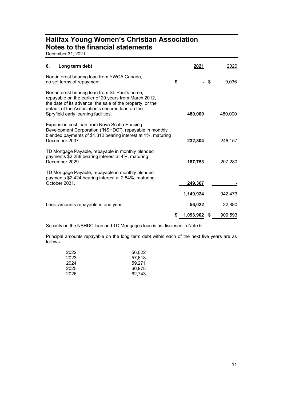December 31, 2021

| 6.<br>Long term debt                                                                                                                                                                                                                                              | 2021      |      | 2020    |
|-------------------------------------------------------------------------------------------------------------------------------------------------------------------------------------------------------------------------------------------------------------------|-----------|------|---------|
| Non-interest bearing loan from YWCA Canada,<br>no set terms of repayment.                                                                                                                                                                                         | \$        | - \$ | 9,036   |
| Non-interest bearing loan from St. Paul's home,<br>repayable on the earlier of 20 years from March 2012,<br>the date of its advance, the sale of the property, or the<br>default of the Association's secured loan on the<br>Spryfield early learning facilities. | 480,000   |      | 480,000 |
| Expansion cost loan from Nova Scotia Housing<br>Development Corporation ("NSHDC"), repayable in monthly<br>blended payments of \$1,312 bearing interest at 1%, maturing<br>December 2037.                                                                         | 232,804   |      | 246,157 |
| TD Mortgage Payable, repayable in monthly blended<br>payments \$2,288 bearing interest at 4%, maturing<br>December 2029.                                                                                                                                          | 187,753   |      | 207,280 |
| TD Mortgage Payable, repayable in monthly blended<br>payments \$2,424 bearing interest at 2.84%, maturing<br>October 2031.                                                                                                                                        | 249,367   |      |         |
|                                                                                                                                                                                                                                                                   | 1,149,924 |      | 942,473 |
| Less: amounts repayable in one year                                                                                                                                                                                                                               | 56,022    |      | 32,880  |
|                                                                                                                                                                                                                                                                   | 1,093,902 | \$   | 909,593 |

Security on the NSHDC loan and TD Mortgages loan is as disclosed in Note 6.

Principal amounts repayable on the long term debt within each of the next five years are as follows:

| 2022 | 56.022 |
|------|--------|
| 2023 | 57.618 |
| 2024 | 59.271 |
| 2025 | 60.978 |
| 2026 | 62,743 |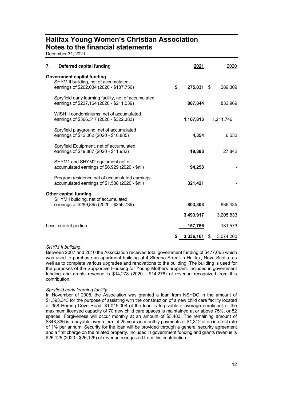December 31, 2021

| 7. | Deferred capital funding                                                                                              |    | 2021       | 2020            |
|----|-----------------------------------------------------------------------------------------------------------------------|----|------------|-----------------|
|    | <b>Government capital funding</b><br>SHYM II building, net of accumulated<br>earnings of \$202,034 (2020 - \$187,756) | \$ | 275,031 \$ | 289,309         |
|    | Spryfield early learning facility, net of accumulated<br>earnings of \$237,164 (2020 - \$211,039)                     |    | 807,844    | 833,969         |
|    | WISH II condominiums, net of accumulated<br>earnings of \$366,317 (2020 - \$322,383)                                  |    | 1,167,813  | 1,211,746       |
|    | Spryfield playground, net of accumulated<br>earnings of \$13,062 (2020 - \$10,885)                                    |    | 4,354      | 6,532           |
|    | Spryfield Equipment, net of accumulated<br>earnings of \$19,887 (2020 - \$11,932)                                     |    | 19,888     | 27,842          |
|    | SHYM1 and SHYM2 equipment net of<br>accumulated earnings of \$6,929 (2020 - \$nil)                                    |    | 94,258     |                 |
|    | Program residence net of accumulated earnings<br>accumulated earnings of \$1,538 (2020 - \$nil)                       |    | 321,421    |                 |
|    | <b>Other capital funding</b><br>SHYM I building, net of accumulated<br>earnings of \$289,865 (2020 - \$256,739)       |    | 803,308    | 836,435         |
|    |                                                                                                                       |    | 3,493,917  | 3,205,833       |
|    | Less: current portion                                                                                                 |    | 157,756    | 131,573         |
|    |                                                                                                                       | S  | 3,336,161  | \$<br>3,074,260 |

#### *SHYM II building*

Between 2007 and 2010 the Association received total government funding of \$477,065 which was used to purchase an apartment building at 4 Skeena Street in Halifax, Nova Scotia, as well as to complete various upgrades and renovations to the building. The building is used for the purposes of the Supportive Housing for Young Mothers program. Included in government funding and grants revenue is \$14,278 (2020 - \$14,278) of revenue recognized from this contribution.

#### *Spryfield early learning facility*

In November of 2008, the Association was granted a loan from NSHDC in the amount of \$1,393,343 for the purpose of assisting with the construction of a new child care facility located at 358 Herring Cove Road. \$1,045,008 of the loan is forgivable if average enrolment of the maximum licensed capacity of 70 new child care spaces is maintained at or above 75%, or 52 spaces. Forgiveness will occur monthly at an amount of \$3,483. The remaining amount of \$348,336 is repayable over a term of 25 years in monthly payments of \$1,312 at an interest rate of 1% per annum. Security for the loan will be provided through a general security agreement and a first charge on the related property. Included in government funding and grants revenue is \$26,125 (2020 - \$26,125) of revenue recognized from this contribution.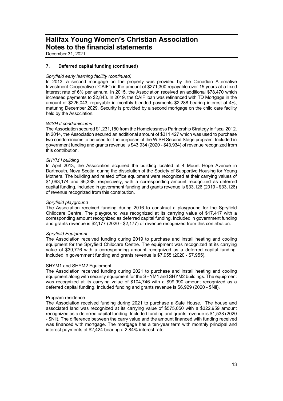December 31, 2021

#### **7. Deferred capital funding (continued)**

#### *Spryfield early learning facility (continued)*

In 2013, a second mortgage on the property was provided by the Canadian Alternative Investment Cooperative ("CAIF") in the amount of \$271,300 repayable over 15 years at a fixed interest rate of 6% per annum. In 2015, the Association received an additional \$78,470 which increased payments to \$2,843. In 2019, the CAIF loan was refinanced with TD Mortgage in the amount of \$226,043, repayable in monthly blended payments \$2,288 bearing interest at 4%, maturing December 2029. Security is provided by a second mortgage on the child care facility held by the Association.

#### *WISH II condominiums*

The Association secured \$1,231,180 from the Homelessness Partnership Strategy in fiscal 2012. In 2014, the Association secured an additional amount of \$311,427 which was used to purchase two condominiums to be used for the purposes of the WISH Second Stage program. Included in government funding and grants revenue is \$43,934 (2020 - \$43,934) of revenue recognized from this contribution.

#### *SHYM I building*

In April 2013, the Association acquired the building located at 4 Mount Hope Avenue in Dartmouth, Nova Scotia, during the dissolution of the Society of Supportive Housing for Young Mothers. The building and related office equipment were recognized at their carrying values of \$1,093,174 and \$6,338, respectively, with a corresponding amount recognized as deferred capital funding. Included in government funding and grants revenue is \$33,126 (2019 - \$33,126) of revenue recognized from this contribution.

#### *Spryfield playground*

The Association received funding during 2016 to construct a playground for the Spryfield Childcare Centre. The playground was recognized at its carrying value of \$17,417 with a corresponding amount recognized as deferred capital funding. Included in government funding and grants revenue is \$2,177 (2020 - \$2,177) of revenue recognized from this contribution.

#### *Spryfield Equipment*

The Association received funding during 2019 to purchase and install heating and cooling equipment for the Spryfield Childcare Centre. The equipment was recognized at its carrying value of \$39,776 with a corresponding amount recognized as a deferred capital funding. Included in government funding and grants revenue is \$7,955 (2020 - \$7,955).

#### SHYM1 and SHYM2 Equipment

The Association received funding during 2021 to purchase and install heating and cooling equipment along with security equipment for the SHYM1 and SHYM2 buildings. The equipment was recognized at its carrying value of \$104,746 with a \$99,990 amount recognized as a deferred capital funding. Included funding and grants revenue is \$6,929 (2020 - \$Nil).

#### Program residence

The Association received funding during 2021 to purchase a Safe House. The house and associated land was recognized at its carrying value of \$575,050 with a \$322,959 amount recognized as a deferred capital funding. Included funding and grants revenue is \$1,538 (2020 - \$Nil). The difference between the carry value and the amount financed with funding received was financed with mortgage. The mortgage has a ten-year term with monthly principal and interest payments of \$2,424 bearing a 2.84% interest rate.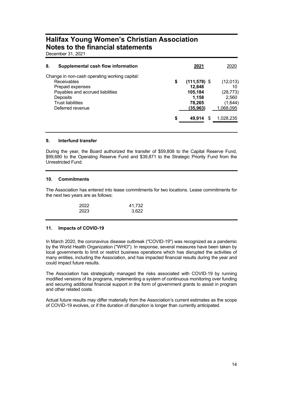December 31, 2021

| 8. | Supplemental cash flow information                                                                                                                                               | 2021                                                                     | 2020                                                         |
|----|----------------------------------------------------------------------------------------------------------------------------------------------------------------------------------|--------------------------------------------------------------------------|--------------------------------------------------------------|
|    | Change in non-cash operating working capital:<br>Receivables<br>Prepaid expenses<br>Payables and accrued liabilities<br>Deposits<br><b>Trust liabilities</b><br>Deferred revenue | \$<br>$(111,578)$ \$<br>12.848<br>105,184<br>1,158<br>78,265<br>(35,963) | (12,013)<br>10<br>(28, 773)<br>2,560<br>(1,644)<br>1,068,095 |
|    |                                                                                                                                                                                  | \$<br>49.914<br>S                                                        | 1,028,235                                                    |

#### **9. Interfund transfer**

During the year, the Board authorized the transfer of \$59,808 to the Capital Reserve Fund, \$99,680 to the Operating Reserve Fund and \$39,871 to the Strategic Priority Fund from the Unrestricted Fund.

#### **10. Commitments**

The Association has entered into lease commitments for two locations. Lease commitments for the next two years are as follows:

| 2022 | 41,732 |
|------|--------|
| 2023 | 3,622  |

#### **11. Impacts of COVID-19**

In March 2020, the coronavirus disease outbreak ("COVID-19") was recognized as a pandemic by the World Health Organization ("WHO"). In response, several measures have been taken by local governments to limit or restrict business operations which has disrupted the activities of many entities, including the Association, and has impacted financial results during the year and could impact future results.

The Association has strategically managed the risks associated with COVID-19 by running modified versions of its programs, implementing a system of continuous monitoring over funding and securing additional financial support in the form of government grants to assist in program and other related costs.

Actual future results may differ materially from the Association's current estimates as the scope of COVID-19 evolves, or if the duration of disruption is longer than currently anticipated.